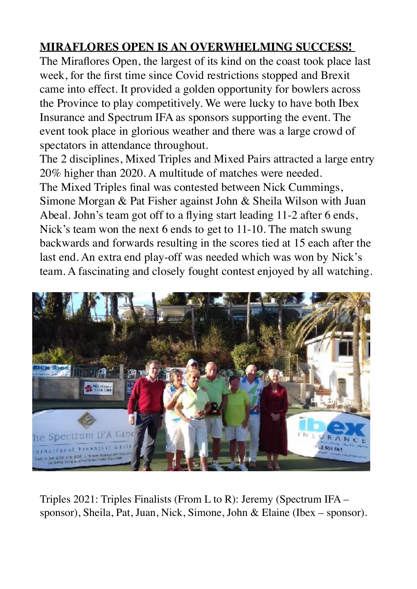## **MIRAFLORES OPEN IS AN OVERWHELMING SUCCESS!**

The Miraflores Open, the largest of its kind on the coast took place last week, for the first time since Covid restrictions stopped and Brexit came into effect. It provided a golden opportunity for bowlers across the Province to play competitively. We were lucky to have both Ibex Insurance and Spectrum IFA as sponsors supporting the event. The event took place in glorious weather and there was a large crowd of spectators in attendance throughout.

The 2 disciplines, Mixed Triples and Mixed Pairs attracted a large entry 20% higher than 2020. A multitude of matches were needed. The Mixed Triples final was contested between Nick Cummings, Simone Morgan & Pat Fisher against John & Sheila Wilson with Juan Abeal. John's team got off to a flying start leading 11-2 after 6 ends, Nick's team won the next 6 ends to get to 11-10. The match swung backwards and forwards resulting in the scores tied at 15 each after the last end. An extra end play-off was needed which was won by Nick's team. A fascinating and closely fought contest enjoyed by all watching.



Triples 2021: Triples Finalists (From L to R): Jeremy (Spectrum IFA – sponsor), Sheila, Pat, Juan, Nick, Simone, John & Elaine (Ibex – sponsor).